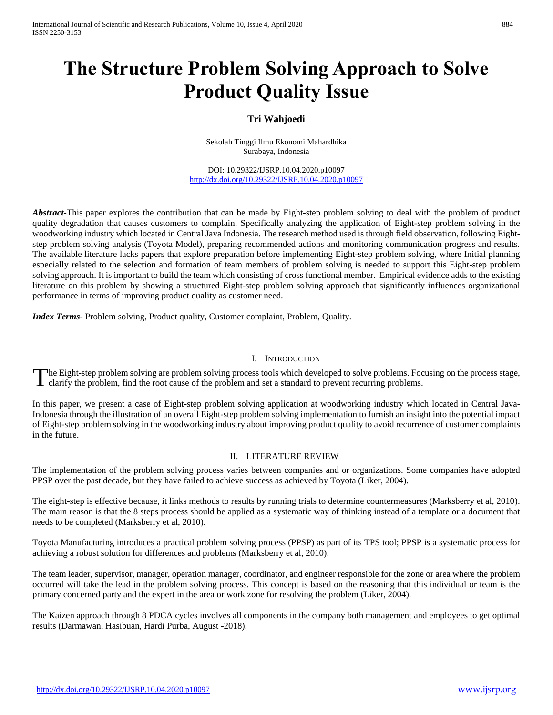# **The Structure Problem Solving Approach to Solve Product Quality Issue**

# **Tri Wahjoedi**

Sekolah Tinggi Ilmu Ekonomi Mahardhika Surabaya, Indonesia

DOI: 10.29322/IJSRP.10.04.2020.p10097 <http://dx.doi.org/10.29322/IJSRP.10.04.2020.p10097>

*Abstract***-**This paper explores the contribution that can be made by Eight-step problem solving to deal with the problem of product quality degradation that causes customers to complain. Specifically analyzing the application of Eight-step problem solving in the woodworking industry which located in Central Java Indonesia. The research method used is through field observation, following Eightstep problem solving analysis (Toyota Model), preparing recommended actions and monitoring communication progress and results. The available literature lacks papers that explore preparation before implementing Eight-step problem solving, where Initial planning especially related to the selection and formation of team members of problem solving is needed to support this Eight-step problem solving approach. It is important to build the team which consisting of cross functional member. Empirical evidence adds to the existing literature on this problem by showing a structured Eight-step problem solving approach that significantly influences organizational performance in terms of improving product quality as customer need.

*Index Terms*- Problem solving, Product quality, Customer complaint, Problem, Quality.

#### I. INTRODUCTION

he Eight-step problem solving are problem solving process tools which developed to solve problems. Focusing on the process stage, The Eight-step problem solving are problem solving process tools which developed to solve problems. For clarify the problem, find the root cause of the problem and set a standard to prevent recurring problems.

In this paper, we present a case of Eight-step problem solving application at woodworking industry which located in Central Java-Indonesia through the illustration of an overall Eight-step problem solving implementation to furnish an insight into the potential impact of Eight-step problem solving in the woodworking industry about improving product quality to avoid recurrence of customer complaints in the future.

#### II. LITERATURE REVIEW

The implementation of the problem solving process varies between companies and or organizations. Some companies have adopted PPSP over the past decade, but they have failed to achieve success as achieved by Toyota (Liker, 2004).

The eight-step is effective because, it links methods to results by running trials to determine countermeasures (Marksberry et al, 2010). The main reason is that the 8 steps process should be applied as a systematic way of thinking instead of a template or a document that needs to be completed (Marksberry et al, 2010).

Toyota Manufacturing introduces a practical problem solving process (PPSP) as part of its TPS tool; PPSP is a systematic process for achieving a robust solution for differences and problems (Marksberry et al, 2010).

The team leader, supervisor, manager, operation manager, coordinator, and engineer responsible for the zone or area where the problem occurred will take the lead in the problem solving process. This concept is based on the reasoning that this individual or team is the primary concerned party and the expert in the area or work zone for resolving the problem (Liker, 2004).

The Kaizen approach through 8 PDCA cycles involves all components in the company both management and employees to get optimal results (Darmawan, Hasibuan, Hardi Purba, August -2018).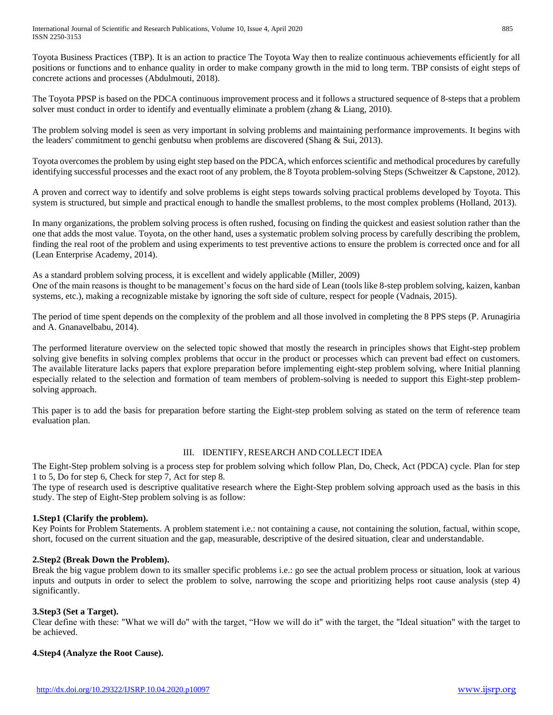Toyota Business Practices (TBP). It is an action to practice The Toyota Way then to realize continuous achievements efficiently for all positions or functions and to enhance quality in order to make company growth in the mid to long term. TBP consists of eight steps of concrete actions and processes (Abdulmouti, 2018).

The Toyota PPSP is based on the PDCA continuous improvement process and it follows a structured sequence of 8-steps that a problem solver must conduct in order to identify and eventually eliminate a problem (zhang & Liang, 2010).

The problem solving model is seen as very important in solving problems and maintaining performance improvements. It begins with the leaders' commitment to genchi genbutsu when problems are discovered (Shang & Sui, 2013).

Toyota overcomes the problem by using eight step based on the PDCA, which enforces scientific and methodical procedures by carefully identifying successful processes and the exact root of any problem, the 8 Toyota problem-solving Steps (Schweitzer & Capstone, 2012).

A proven and correct way to identify and solve problems is eight steps towards solving practical problems developed by Toyota. This system is structured, but simple and practical enough to handle the smallest problems, to the most complex problems (Holland, 2013).

In many organizations, the problem solving process is often rushed, focusing on finding the quickest and easiest solution rather than the one that adds the most value. Toyota, on the other hand, uses a systematic problem solving process by carefully describing the problem, finding the real root of the problem and using experiments to test preventive actions to ensure the problem is corrected once and for all (Lean Enterprise Academy, 2014).

As a standard problem solving process, it is excellent and widely applicable (Miller, 2009)

One of the main reasons is thought to be management's focus on the hard side of Lean (tools like 8-step problem solving, kaizen, kanban systems, etc.), making a recognizable mistake by ignoring the soft side of culture, respect for people (Vadnais, 2015).

The period of time spent depends on the complexity of the problem and all those involved in completing the 8 PPS steps (P. Arunagiria and A. Gnanavelbabu, 2014).

The performed literature overview on the selected topic showed that mostly the research in principles shows that Eight-step problem solving give benefits in solving complex problems that occur in the product or processes which can prevent bad effect on customers. The available literature lacks papers that explore preparation before implementing eight-step problem solving, where Initial planning especially related to the selection and formation of team members of problem-solving is needed to support this Eight-step problemsolving approach.

This paper is to add the basis for preparation before starting the Eight-step problem solving as stated on the term of reference team evaluation plan.

## III. IDENTIFY, RESEARCH AND COLLECT IDEA

The Eight-Step problem solving is a process step for problem solving which follow Plan, Do, Check, Act (PDCA) cycle. Plan for step 1 to 5, Do for step 6, Check for step 7, Act for step 8.

The type of research used is descriptive qualitative research where the Eight-Step problem solving approach used as the basis in this study. The step of Eight-Step problem solving is as follow:

## **1.Step1 (Clarify the problem).**

Key Points for Problem Statements. A problem statement i.e.: not containing a cause, not containing the solution, factual, within scope, short, focused on the current situation and the gap, measurable, descriptive of the desired situation, clear and understandable.

#### **2.Step2 (Break Down the Problem).**

Break the big vague problem down to its smaller specific problems i.e.: go see the actual problem process or situation, look at various inputs and outputs in order to select the problem to solve, narrowing the scope and prioritizing helps root cause analysis (step 4) significantly.

## **3.Step3 (Set a Target).**

Clear define with these: "What we will do" with the target, "How we will do it" with the target, the "Ideal situation" with the target to be achieved.

#### **4.Step4 (Analyze the Root Cause).**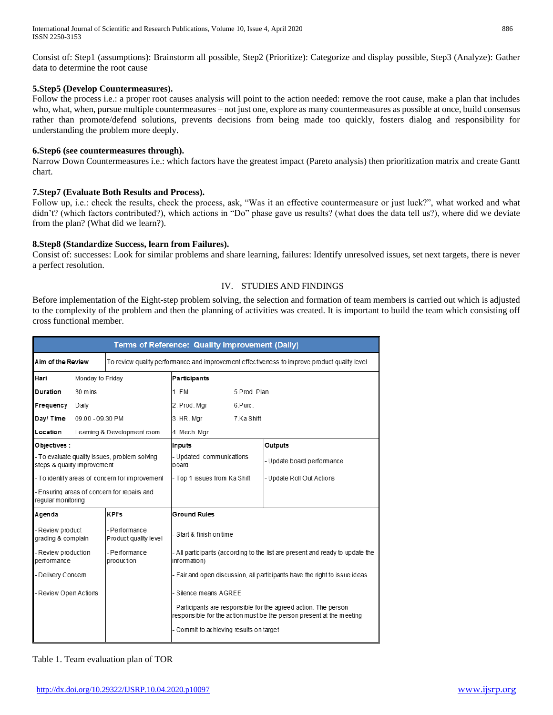Consist of: Step1 (assumptions): Brainstorm all possible, Step2 (Prioritize): Categorize and display possible, Step3 (Analyze): Gather data to determine the root cause

## **5.Step5 (Develop Countermeasures).**

Follow the process i.e.: a proper root causes analysis will point to the action needed: remove the root cause, make a plan that includes who, what, when, pursue multiple countermeasures – not just one, explore as many countermeasures as possible at once, build consensus rather than promote/defend solutions, prevents decisions from being made too quickly, fosters dialog and responsibility for understanding the problem more deeply.

## **6.Step6 (see countermeasures through).**

Narrow Down Countermeasures i.e.: which factors have the greatest impact (Pareto analysis) then prioritization matrix and create Gantt chart.

## **7.Step7 (Evaluate Both Results and Process).**

Follow up, i.e.: check the results, check the process, ask, "Was it an effective countermeasure or just luck?", what worked and what didn't? (which factors contributed?), which actions in "Do" phase gave us results? (what does the data tell us?), where did we deviate from the plan? (What did we learn?).

## **8.Step8 (Standardize Success, learn from Failures).**

Consist of: successes: Look for similar problems and share learning, failures: Identify unresolved issues, set next targets, there is never a perfect resolution.

## IV. STUDIES AND FINDINGS

Before implementation of the Eight-step problem solving, the selection and formation of team members is carried out which is adjusted to the complexity of the problem and then the planning of activities was created. It is important to build the team which consisting off cross functional member.

| Terms of Reference: Quality Improvement (Daily)                              |                  |                                                                                               |                                                                                                                                          |            |                           |  |  |  |  |
|------------------------------------------------------------------------------|------------------|-----------------------------------------------------------------------------------------------|------------------------------------------------------------------------------------------------------------------------------------------|------------|---------------------------|--|--|--|--|
| Aim of the Review                                                            |                  |                                                                                               | To review quality performance and improvement effectiveness to improve product quality level                                             |            |                           |  |  |  |  |
| Hari<br>Monday to Friday                                                     |                  |                                                                                               | Participants                                                                                                                             |            |                           |  |  |  |  |
| Duration<br>30 mins                                                          |                  |                                                                                               | 1. FM<br>5.Prod. Plan.                                                                                                                   |            |                           |  |  |  |  |
| Frequency                                                                    | Daily            |                                                                                               | 2. Prod. Mgr                                                                                                                             | 6.Purc.    |                           |  |  |  |  |
| Day/Time                                                                     | 09.00 - 09.30 PM |                                                                                               | 3. HR. Mgr                                                                                                                               | 7.Ka Shift |                           |  |  |  |  |
| Location                                                                     |                  | Learning & Development room                                                                   | 4. Mech. Mgr                                                                                                                             |            |                           |  |  |  |  |
| Objectives:                                                                  |                  |                                                                                               | Inputs                                                                                                                                   |            | Outputs                   |  |  |  |  |
| - To evaluate quality issues, problem solving<br>steps & quality improvement |                  |                                                                                               | - Updated communications<br>board                                                                                                        |            | Update board performance  |  |  |  |  |
|                                                                              |                  | - To identify areas of concern for improvement                                                | - Top 1 issues from Ka Shift                                                                                                             |            | - Update Roll Out Actions |  |  |  |  |
| regular monitoring                                                           |                  | - Ensuring areas of concern for repairs and                                                   |                                                                                                                                          |            |                           |  |  |  |  |
| Agenda                                                                       |                  | <b>KPI's</b>                                                                                  | <b>Ground Rules</b>                                                                                                                      |            |                           |  |  |  |  |
| - Review product<br>grading & complain                                       |                  | - Performance<br>Product quality level                                                        | - Start & finish on time                                                                                                                 |            |                           |  |  |  |  |
| - Performance<br>- Review production<br>performance<br>production            |                  | - All participants (according to the list are present and ready to update the<br>information) |                                                                                                                                          |            |                           |  |  |  |  |
| - Delivery Concern                                                           |                  |                                                                                               | - Fair and open discussion, all participants have the right to issue ideas                                                               |            |                           |  |  |  |  |
| - Review Open Actions                                                        |                  | - Silence means AGREE                                                                         |                                                                                                                                          |            |                           |  |  |  |  |
|                                                                              |                  |                                                                                               | - Participants are responsible for the agreed action. The person<br>responsible for the action must be the person present at the meeting |            |                           |  |  |  |  |
|                                                                              |                  | - Commit to achieving results on target                                                       |                                                                                                                                          |            |                           |  |  |  |  |

#### Table 1. Team evaluation plan of TOR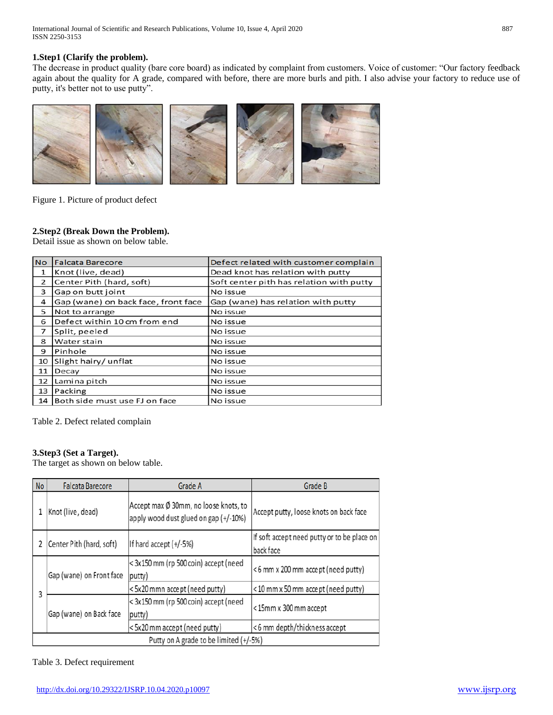International Journal of Scientific and Research Publications, Volume 10, Issue 4, April 2020 887 ISSN 2250-3153

## **1.Step1 (Clarify the problem).**

The decrease in product quality (bare core board) as indicated by complaint from customers. Voice of customer: "Our factory feedback again about the quality for A grade, compared with before, there are more burls and pith. I also advise your factory to reduce use of putty, it's better not to use putty".



Figure 1. Picture of product defect

## **2.Step2 (Break Down the Problem).**

Detail issue as shown on below table.

| <b>No</b>    | <b>Falcata Barecore</b>             | Defect related with customer complain    |
|--------------|-------------------------------------|------------------------------------------|
| $\mathbf{1}$ | Knot (live, dead)                   | Dead knot has relation with putty        |
| 2            | Center Pith (hard, soft)            | Soft center pith has relation with putty |
| 3            | Gap on butt joint                   | No issue                                 |
| 4            | Gap (wane) on back face, front face | Gap (wane) has relation with putty       |
| 5            | Not to arrange                      | No issue                                 |
| 6            | Defect within 10 cm from end        | No issue                                 |
| 7            | Split, peeled                       | No issue                                 |
| 8            | Water stain                         | No issue                                 |
| 9            | Pinhole                             | No issue                                 |
| 10           | Slight hairy/unflat                 | No issue                                 |
| 11           | Decay                               | No issue                                 |
| 12           | Lamina pitch                        | No issue                                 |
| 13           | Packing                             | No issue                                 |
|              | 14 Both side must use FJ on face    | No issue                                 |

Table 2. Defect related complain

## **3.Step3 (Set a Target).**

The target as shown on below table.

| <b>No</b> | <b>Falcata Barecore</b>                              | Grade A                                                                        | Grade B                                                  |  |  |  |  |  |
|-----------|------------------------------------------------------|--------------------------------------------------------------------------------|----------------------------------------------------------|--|--|--|--|--|
|           | Knot (live, dead)                                    | Accept max Ø 30mm, no loose knots, to<br>apply wood dust glued on gap (+/-10%) | Accept putty, loose knots on back face                   |  |  |  |  |  |
|           | If hard accept $(+/-5%)$<br>Center Pith (hard, soft) |                                                                                | If soft accept need putty or to be place on<br>back face |  |  |  |  |  |
|           | Gap (wane) on Front face                             | < 3x150 mm (rp 500 coin) accept (need<br>(putty)                               | <6 mm x 200 mm accept (need putty)                       |  |  |  |  |  |
| 3         |                                                      | <5x20 mmn accept (need putty)                                                  | <10 mm x 50 mm accept (need putty)                       |  |  |  |  |  |
|           | Gap (wane) on Back face                              | < 3x150 mm (rp 500 coin) accept (need<br>putty)                                | <15mm x 300 mm accept                                    |  |  |  |  |  |
|           |                                                      | <5x20 mm accept (need putty)                                                   | <6 mm depth/thickness accept                             |  |  |  |  |  |
|           | Putty on A grade to be limited (+/-5%)               |                                                                                |                                                          |  |  |  |  |  |

Table 3. Defect requirement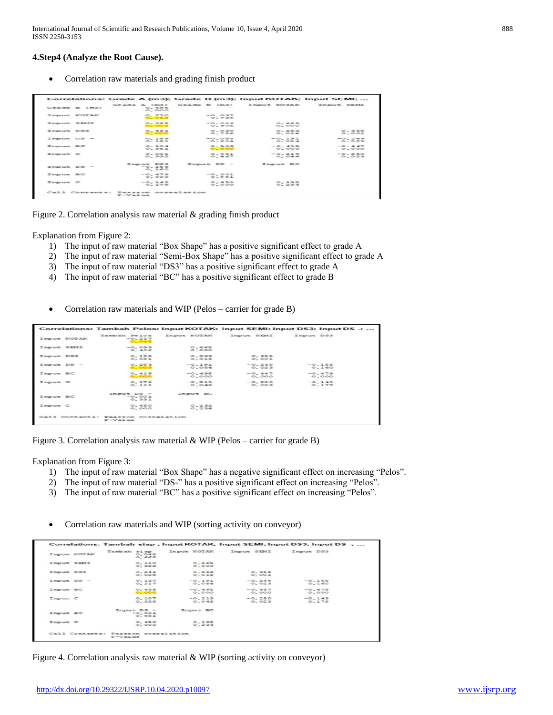International Journal of Scientific and Research Publications, Volume 10, Issue 4, April 2020 888 ISSN 2250-3153

#### **4.Step4 (Analyze the Root Cause).**

Correlation raw materials and grading finish product

|            | Grade B (m3)      | $G$ x ad $\approx$ $X$ $(m3)$<br>0.495<br>O. COO | Grade B (m3)                                           | Input NOTAK              | Input SEMI              |
|------------|-------------------|--------------------------------------------------|--------------------------------------------------------|--------------------------|-------------------------|
|            | I may use SCOTASC | O.270<br>O <sub>2</sub> O <sub>2</sub> 3         | $-0.037$<br>O <sub>2</sub> 2.00                        |                          |                         |
| Input SEMI |                   | 0.365<br>$O = OQ = 2$                            | $-0.013$<br>O.905                                      | $O - 665$<br>O. COO      |                         |
| Input DS3  |                   | 0.451<br>0.000                                   | 0.030<br>O.706                                         | 0.763<br>$O. O I \in$    | $Q_1$ and<br>O.001      |
| Input DS - |                   | 0.355<br>O.353                                   | $-0.050$<br>0.504                                      | $-0.191$<br>$O - CO = 4$ | $-0.245$<br>$O - O = 3$ |
| Input BC   |                   | O.304<br>O.351                                   | O.503<br>$\begin{array}{c} 0 & 0 \\ 0 & 0 \end{array}$ | $-0.495$<br>O. COO       | $-0.447$<br>0.000       |
| Imput C    |                   | $O_7$ $OO1$<br>O.992                             | O.001<br>0.457                                         | $-0.215$<br>$O$ $O4 C$   | $-0.250$<br>O.023       |
| Input DS - |                   | Input DS3<br>$-0.156$<br>O.160                   | Input DS -                                             | Input BC                 |                         |
| Input BC   |                   | $-0.479$<br>O. COO                               | $-0.001$<br>O.991                                      |                          |                         |
| Input C    |                   | $-0.145$<br>$O_2$ $272$                          | 0.450<br>O.000                                         | O: 332<br>$O_2 = 2 + 4$  |                         |

Figure 2. Correlation analysis raw material & grading finish product

Explanation from Figure 2:

- 1) The input of raw material "Box Shape" has a positive significant effect to grade A
- 2) The input of raw material "Semi-Box Shape" has a positive significant effect to grade A
- 3) The input of raw material "DS3" has a positive significant effect to grade A
- 4) The input of raw material "BC" has a positive significant effect to grade B
- Correlation raw materials and WIP (Pelos carrier for grade B)

|                 |                |                                   |                   |                   | Correlations: Tambah Pelos; Input KOTAK; Input SEMI; Input DS3; Input DS -; |  |
|-----------------|----------------|-----------------------------------|-------------------|-------------------|-----------------------------------------------------------------------------|--|
|                 | Input KOTAK    | Tambah Pelos<br>$-0.217$<br>0.040 | Input EOTAE       | Input SEHI        | Input DS3                                                                   |  |
| Input SEMI      |                | $-0.093$<br>0.406                 | 0.665<br>0.000    |                   |                                                                             |  |
| Input DS3       |                | 0.192<br>$O2$ $O3$ $2$            | 0.263<br>0.016    | 0.355<br>O, CO1   |                                                                             |  |
| $I$ nput $DS -$ |                | 0.284<br>O<1005                   | $-0.191$<br>0.084 | $-0.245$<br>0.023 | $-0.156$<br>0.160                                                           |  |
| Input BC        |                | 0.435<br>$-000$                   | $-0.495$<br>0.000 | $-0.447$<br>0.000 | $-0.479$<br>0.000                                                           |  |
| Input C         |                | 0.176<br>0.111                    | $-0.219$<br>0.046 | $-0.250$<br>0.023 | $-0.145$<br>0.179                                                           |  |
| Input BC        |                | Input $DS -$<br>$-0.001$<br>0.591 | Input BC          |                   |                                                                             |  |
| Input C         |                | 0.450<br>0.000                    | 0.132<br>0.234    |                   |                                                                             |  |
|                 | Cell Contents: | Pearson correlation<br>$P-Va1$ we |                   |                   |                                                                             |  |

Figure 3. Correlation analysis raw material & WIP (Pelos – carrier for grade B)

Explanation from Figure 3:

- 1) The input of raw material "Box Shape" has a negative significant effect on increasing "Pelos".
- 2) The input of raw material "DS-" has a positive significant effect on increasing "Pelos".
- 3) The input of raw material "BC" has a positive significant effect on increasing "Pelos".
- Correlation raw materials and WIP (sorting activity on conveyor)

|                 | Input KOTAK | Tambah siap<br>0.048<br>$On$ ees | Input KOTAK        | Input SEMI        | Input DS3         |
|-----------------|-------------|----------------------------------|--------------------|-------------------|-------------------|
| Input SEMI      |             | 0.110<br>0.322                   | $O$ $EES$<br>0.000 |                   |                   |
| Input DS3       |             | 0.241<br>0.028                   | 0.263<br>0.016     | 0.355<br>O. CO1   |                   |
| $T$ mput $DS -$ |             | 0.137<br>0.217                   | $-0.191$<br>O.084  | $-0.245$<br>0.023 | $-0.156$<br>0.160 |
| Input BC        |             | 0.436<br>0.000                   | $-0.495$<br>0.000  | $-0.447$<br>0.000 | $-0.479$<br>0.000 |
| Input C         |             | 0.107<br>0.338                   | $-0.215$<br>0.046  | $-0.250$<br>0.023 | $-0.149$<br>0.179 |
| Input BC        |             | $InputDS -$<br>$-0.001$<br>0.591 | Input BC           |                   |                   |
| Input C         |             | 0.450<br>0.000                   | 0.132<br>O: 234    |                   |                   |

Figure 4. Correlation analysis raw material & WIP (sorting activity on conveyor)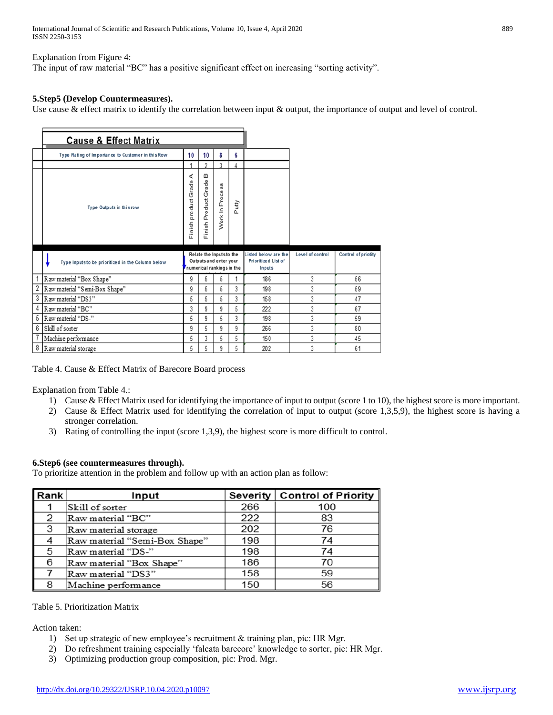International Journal of Scientific and Research Publications, Volume 10, Issue 4, April 2020 889 ISSN 2250-3153

#### Explanation from Figure 4:

The input of raw material "BC" has a positive significant effect on increasing "sorting activity".

#### **5.Step5 (Develop Countermeasures).**

Use cause & effect matrix to identify the correlation between input & output, the importance of output and level of control.

|   | <b>Cause &amp; Effect Matrix</b>                  |                        |                                                                                 |                 |       |                                                       |                  |                     |
|---|---------------------------------------------------|------------------------|---------------------------------------------------------------------------------|-----------------|-------|-------------------------------------------------------|------------------|---------------------|
|   |                                                   |                        |                                                                                 |                 |       |                                                       |                  |                     |
|   | Type Rating of Importance to Customer in this Row | 10                     | 10                                                                              | 8               | 6     |                                                       |                  |                     |
|   |                                                   |                        | っ                                                                               | 3               | 4     |                                                       |                  |                     |
|   | Type Outputs in this row                          | Finish product Grade A | $\omega$<br>Grade<br>Finish Product                                             | Work In Process | Putty |                                                       |                  |                     |
|   |                                                   |                        |                                                                                 |                 |       |                                                       |                  |                     |
|   | Type Inputs to be prioritized in the Column below |                        | Relate the Inputs to the<br>Outputs and enter your<br>numerical rankings in the |                 |       | Listed below are the<br>Prioritized List of<br>Inputs | Level of control | Control of priotity |
| 1 | Raw material "Box Shape"                          | 9                      | 5                                                                               | 5               | 1     | 186                                                   | 3                | 56                  |
| 2 | Raw material "Semi-Box Shape"                     | 9                      | 5                                                                               | 5               | 3     | 198                                                   | 3                | 59                  |
| 3 | Raw material "DS3"                                | 5                      | 5                                                                               | 5               | 3     | 158                                                   | 3                | 47                  |
| 4 | Raw material "BC"                                 | 3                      | 9                                                                               | 9               | 5     | 222                                                   | 3                | 67                  |
| 5 | Raw material "DS-"                                | 5                      | 9                                                                               | 5               | 3     | 198                                                   | 3                | 59                  |
| 6 | Skill of sorter                                   | 9                      | 5                                                                               | 9               | 9     | 266                                                   | 3                | 80                  |
| 7 | Machine performance                               | 5                      | 3                                                                               | 5               | 5     | 150                                                   | 3                | 45                  |

Table 4. Cause & Effect Matrix of Barecore Board process

Explanation from Table 4.:

- 1) Cause & Effect Matrix used for identifying the importance of input to output (score 1 to 10), the highest score is more important.
- 2) Cause & Effect Matrix used for identifying the correlation of input to output (score 1,3,5,9), the highest score is having a stronger correlation.
- 3) Rating of controlling the input (score 1,3,9), the highest score is more difficult to control.

#### **6.Step6 (see countermeasures through).**

To prioritize attention in the problem and follow up with an action plan as follow:

| Rank | Input                         |     | Severity   Control of Priority |
|------|-------------------------------|-----|--------------------------------|
|      | Skill of sorter               | 266 | 100                            |
|      | Raw material "BC"             | 222 | 83                             |
| 3    | Raw material storage          | 202 | 76                             |
|      | Raw material "Semi-Box Shape" | 198 | 74                             |
| 5    | Raw material "DS-"            | 198 | 74                             |
| 6    | Raw material "Box Shape"      | 186 | 70                             |
|      | Raw material "DS3"            | 158 | 59                             |
| 8    | Machine performance           | 150 | 56                             |

#### Table 5. Prioritization Matrix

Action taken:

- 1) Set up strategic of new employee's recruitment & training plan, pic: HR Mgr.
- 2) Do refreshment training especially 'falcata barecore' knowledge to sorter, pic: HR Mgr.
- 3) Optimizing production group composition, pic: Prod. Mgr.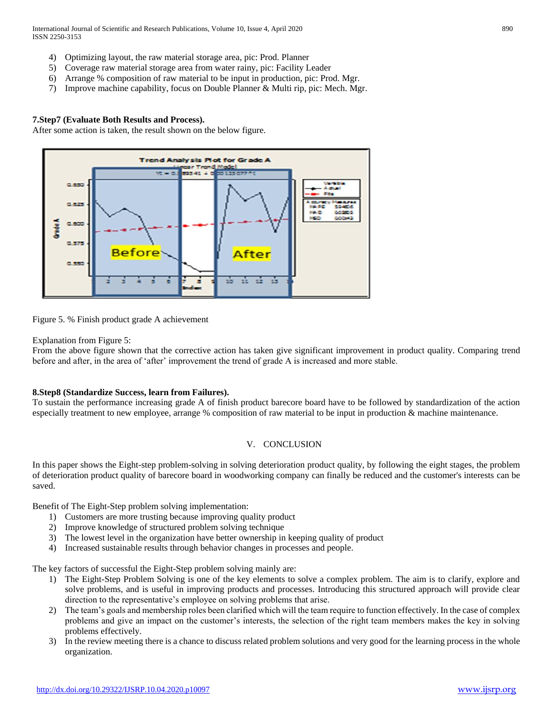International Journal of Scientific and Research Publications, Volume 10, Issue 4, April 2020 890 ISSN 2250-3153

- 4) Optimizing layout, the raw material storage area, pic: Prod. Planner
- 5) Coverage raw material storage area from water rainy, pic: Facility Leader
- 6) Arrange % composition of raw material to be input in production, pic: Prod. Mgr.
- 7) Improve machine capability, focus on Double Planner & Multi rip, pic: Mech. Mgr.

#### **7.Step7 (Evaluate Both Results and Process).**

After some action is taken, the result shown on the below figure.



Figure 5. % Finish product grade A achievement

#### Explanation from Figure 5:

From the above figure shown that the corrective action has taken give significant improvement in product quality. Comparing trend before and after, in the area of 'after' improvement the trend of grade A is increased and more stable.

#### **8.Step8 (Standardize Success, learn from Failures).**

To sustain the performance increasing grade A of finish product barecore board have to be followed by standardization of the action especially treatment to new employee, arrange % composition of raw material to be input in production & machine maintenance.

#### V. CONCLUSION

In this paper shows the Eight-step problem-solving in solving deterioration product quality, by following the eight stages, the problem of deterioration product quality of barecore board in woodworking company can finally be reduced and the customer's interests can be saved.

Benefit of The Eight-Step problem solving implementation:

- 1) Customers are more trusting because improving quality product
- 2) Improve knowledge of structured problem solving technique
- 3) The lowest level in the organization have better ownership in keeping quality of product
- 4) Increased sustainable results through behavior changes in processes and people.

The key factors of successful the Eight-Step problem solving mainly are:

- 1) The Eight-Step Problem Solving is one of the key elements to solve a complex problem. The aim is to clarify, explore and solve problems, and is useful in improving products and processes. Introducing this structured approach will provide clear direction to the representative's employee on solving problems that arise.
- 2) The team's goals and membership roles been clarified which will the team require to function effectively. In the case of complex problems and give an impact on the customer's interests, the selection of the right team members makes the key in solving problems effectively.
- 3) In the review meeting there is a chance to discuss related problem solutions and very good for the learning process in the whole organization.